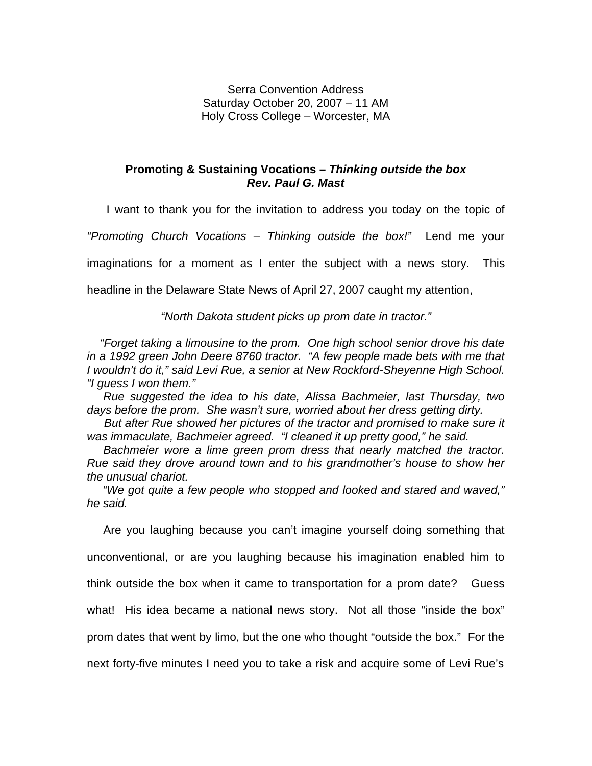Serra Convention Address Saturday October 20, 2007 – 11 AM Holy Cross College – Worcester, MA

## **Promoting & Sustaining Vocations –** *Thinking outside the box Rev. Paul G. Mast*

I want to thank you for the invitation to address you today on the topic of

*"Promoting Church Vocations – Thinking outside the box!"* Lend me your

imaginations for a moment as I enter the subject with a news story. This

headline in the Delaware State News of April 27, 2007 caught my attention,

*"North Dakota student picks up prom date in tractor."*

 *"Forget taking a limousine to the prom. One high school senior drove his date in a 1992 green John Deere 8760 tractor. "A few people made bets with me that I wouldn't do it," said Levi Rue, a senior at New Rockford-Sheyenne High School. "I guess I won them."*

 *Rue suggested the idea to his date, Alissa Bachmeier, last Thursday, two days before the prom. She wasn't sure, worried about her dress getting dirty.*

 *But after Rue showed her pictures of the tractor and promised to make sure it was immaculate, Bachmeier agreed. "I cleaned it up pretty good," he said.*

 *Bachmeier wore a lime green prom dress that nearly matched the tractor. Rue said they drove around town and to his grandmother's house to show her the unusual chariot.* 

 *"We got quite a few people who stopped and looked and stared and waved," he said.*

 Are you laughing because you can't imagine yourself doing something that unconventional, or are you laughing because his imagination enabled him to think outside the box when it came to transportation for a prom date? Guess what! His idea became a national news story. Not all those "inside the box" prom dates that went by limo, but the one who thought "outside the box." For the next forty-five minutes I need you to take a risk and acquire some of Levi Rue's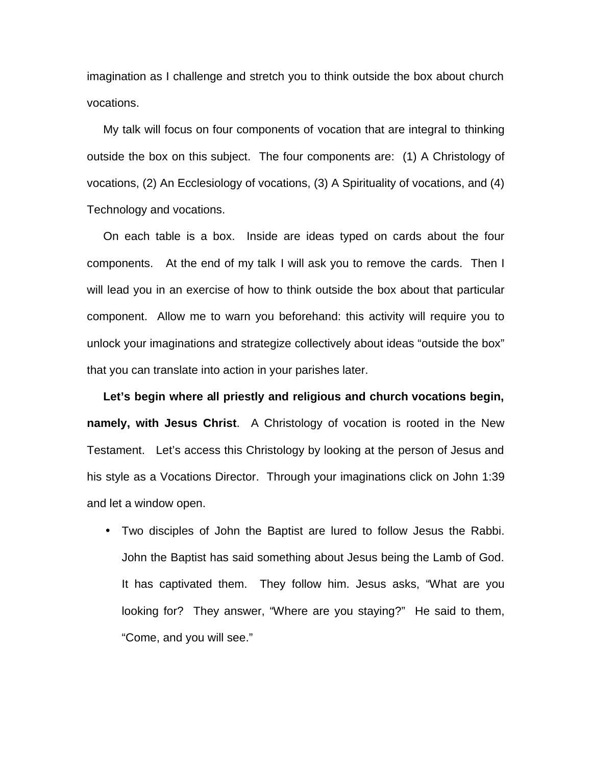imagination as I challenge and stretch you to think outside the box about church vocations.

 My talk will focus on four components of vocation that are integral to thinking outside the box on this subject. The four components are: (1) A Christology of vocations, (2) An Ecclesiology of vocations, (3) A Spirituality of vocations, and (4) Technology and vocations.

 On each table is a box. Inside are ideas typed on cards about the four components. At the end of my talk I will ask you to remove the cards. Then I will lead you in an exercise of how to think outside the box about that particular component. Allow me to warn you beforehand: this activity will require you to unlock your imaginations and strategize collectively about ideas "outside the box" that you can translate into action in your parishes later.

 **Let's begin where all priestly and religious and church vocations begin, namely, with Jesus Christ**. A Christology of vocation is rooted in the New Testament. Let's access this Christology by looking at the person of Jesus and his style as a Vocations Director. Through your imaginations click on John 1:39 and let a window open.

• Two disciples of John the Baptist are lured to follow Jesus the Rabbi. John the Baptist has said something about Jesus being the Lamb of God. It has captivated them. They follow him. Jesus asks, "What are you looking for? They answer, "Where are you staying?" He said to them, "Come, and you will see."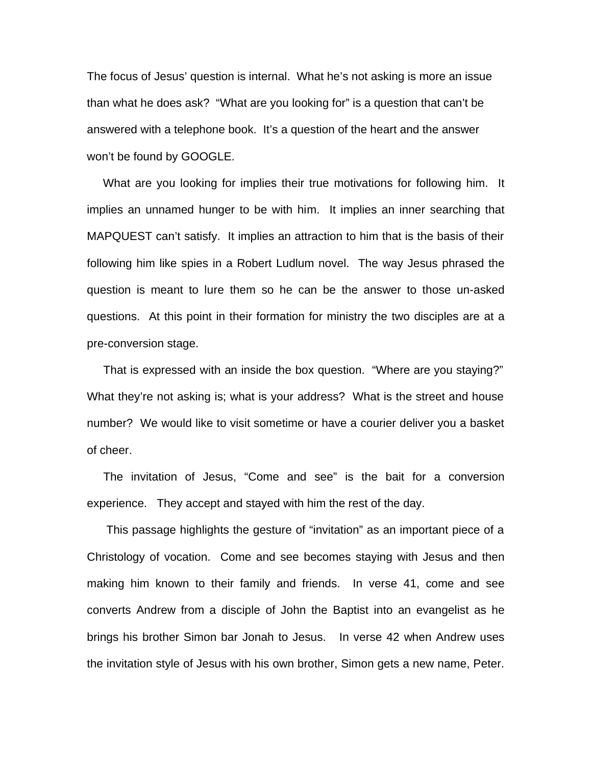The focus of Jesus' question is internal. What he's not asking is more an issue than what he does ask? "What are you looking for" is a question that can't be answered with a telephone book. It's a question of the heart and the answer won't be found by GOOGLE.

 What are you looking for implies their true motivations for following him. It implies an unnamed hunger to be with him. It implies an inner searching that MAPQUEST can't satisfy. It implies an attraction to him that is the basis of their following him like spies in a Robert Ludlum novel. The way Jesus phrased the question is meant to lure them so he can be the answer to those un-asked questions. At this point in their formation for ministry the two disciples are at a pre-conversion stage.

 That is expressed with an inside the box question. "Where are you staying?" What they're not asking is; what is your address? What is the street and house number? We would like to visit sometime or have a courier deliver you a basket of cheer.

 The invitation of Jesus, "Come and see" is the bait for a conversion experience. They accept and stayed with him the rest of the day.

 This passage highlights the gesture of "invitation" as an important piece of a Christology of vocation. Come and see becomes staying with Jesus and then making him known to their family and friends. In verse 41, come and see converts Andrew from a disciple of John the Baptist into an evangelist as he brings his brother Simon bar Jonah to Jesus. In verse 42 when Andrew uses the invitation style of Jesus with his own brother, Simon gets a new name, Peter.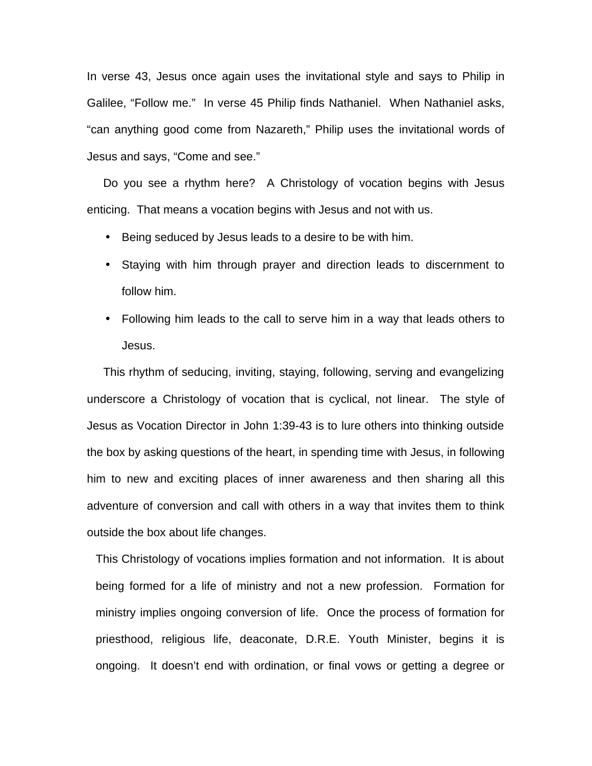In verse 43, Jesus once again uses the invitational style and says to Philip in Galilee, "Follow me." In verse 45 Philip finds Nathaniel. When Nathaniel asks, "can anything good come from Nazareth," Philip uses the invitational words of Jesus and says, "Come and see."

 Do you see a rhythm here? A Christology of vocation begins with Jesus enticing. That means a vocation begins with Jesus and not with us.

- Being seduced by Jesus leads to a desire to be with him.
- Staying with him through prayer and direction leads to discernment to follow him.
- Following him leads to the call to serve him in a way that leads others to Jesus.

 This rhythm of seducing, inviting, staying, following, serving and evangelizing underscore a Christology of vocation that is cyclical, not linear. The style of Jesus as Vocation Director in John 1:39-43 is to lure others into thinking outside the box by asking questions of the heart, in spending time with Jesus, in following him to new and exciting places of inner awareness and then sharing all this adventure of conversion and call with others in a way that invites them to think outside the box about life changes.

This Christology of vocations implies formation and not information. It is about being formed for a life of ministry and not a new profession. Formation for ministry implies ongoing conversion of life. Once the process of formation for priesthood, religious life, deaconate, D.R.E. Youth Minister, begins it is ongoing. It doesn't end with ordination, or final vows or getting a degree or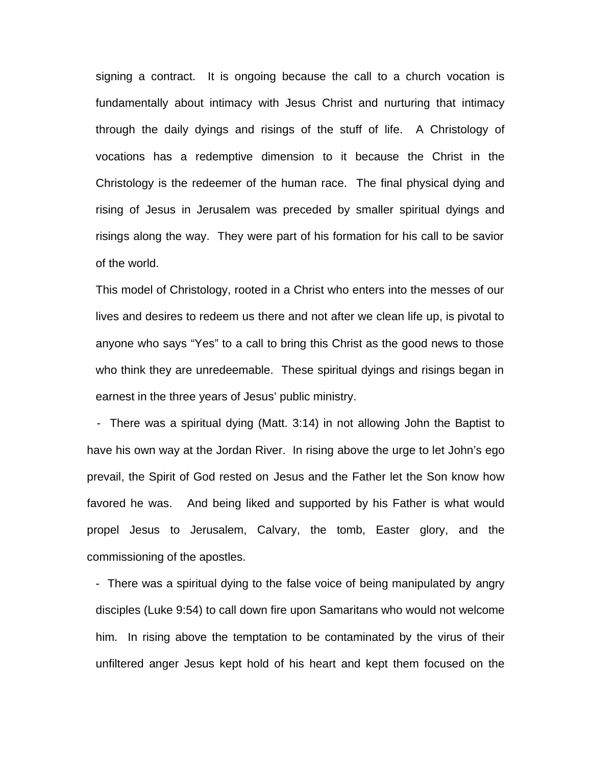signing a contract. It is ongoing because the call to a church vocation is fundamentally about intimacy with Jesus Christ and nurturing that intimacy through the daily dyings and risings of the stuff of life. A Christology of vocations has a redemptive dimension to it because the Christ in the Christology is the redeemer of the human race. The final physical dying and rising of Jesus in Jerusalem was preceded by smaller spiritual dyings and risings along the way. They were part of his formation for his call to be savior of the world.

This model of Christology, rooted in a Christ who enters into the messes of our lives and desires to redeem us there and not after we clean life up, is pivotal to anyone who says "Yes" to a call to bring this Christ as the good news to those who think they are unredeemable. These spiritual dyings and risings began in earnest in the three years of Jesus' public ministry.

 - There was a spiritual dying (Matt. 3:14) in not allowing John the Baptist to have his own way at the Jordan River. In rising above the urge to let John's ego prevail, the Spirit of God rested on Jesus and the Father let the Son know how favored he was. And being liked and supported by his Father is what would propel Jesus to Jerusalem, Calvary, the tomb, Easter glory, and the commissioning of the apostles.

- There was a spiritual dying to the false voice of being manipulated by angry disciples (Luke 9:54) to call down fire upon Samaritans who would not welcome him. In rising above the temptation to be contaminated by the virus of their unfiltered anger Jesus kept hold of his heart and kept them focused on the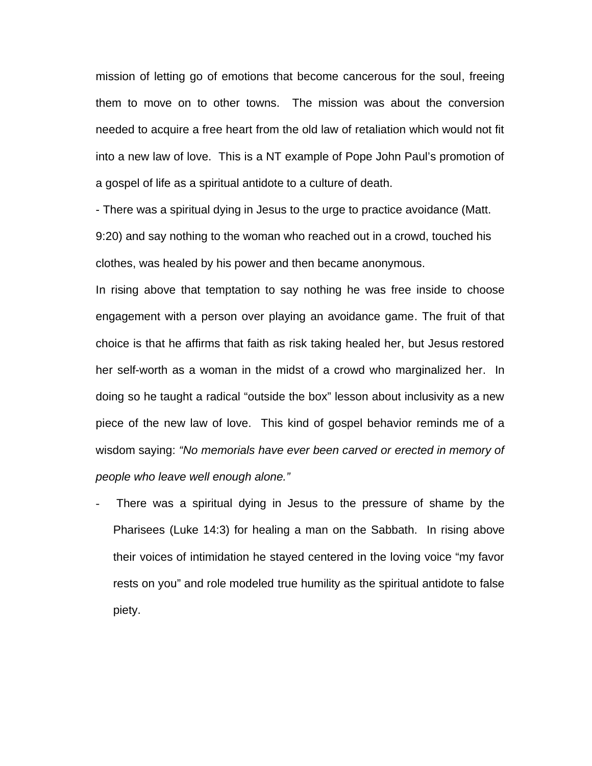mission of letting go of emotions that become cancerous for the soul, freeing them to move on to other towns. The mission was about the conversion needed to acquire a free heart from the old law of retaliation which would not fit into a new law of love. This is a NT example of Pope John Paul's promotion of a gospel of life as a spiritual antidote to a culture of death.

- There was a spiritual dying in Jesus to the urge to practice avoidance (Matt. 9:20) and say nothing to the woman who reached out in a crowd, touched his clothes, was healed by his power and then became anonymous.

In rising above that temptation to say nothing he was free inside to choose engagement with a person over playing an avoidance game. The fruit of that choice is that he affirms that faith as risk taking healed her, but Jesus restored her self-worth as a woman in the midst of a crowd who marginalized her. In doing so he taught a radical "outside the box" lesson about inclusivity as a new piece of the new law of love. This kind of gospel behavior reminds me of a wisdom saying: *"No memorials have ever been carved or erected in memory of people who leave well enough alone."*

There was a spiritual dying in Jesus to the pressure of shame by the Pharisees (Luke 14:3) for healing a man on the Sabbath. In rising above their voices of intimidation he stayed centered in the loving voice "my favor rests on you" and role modeled true humility as the spiritual antidote to false piety.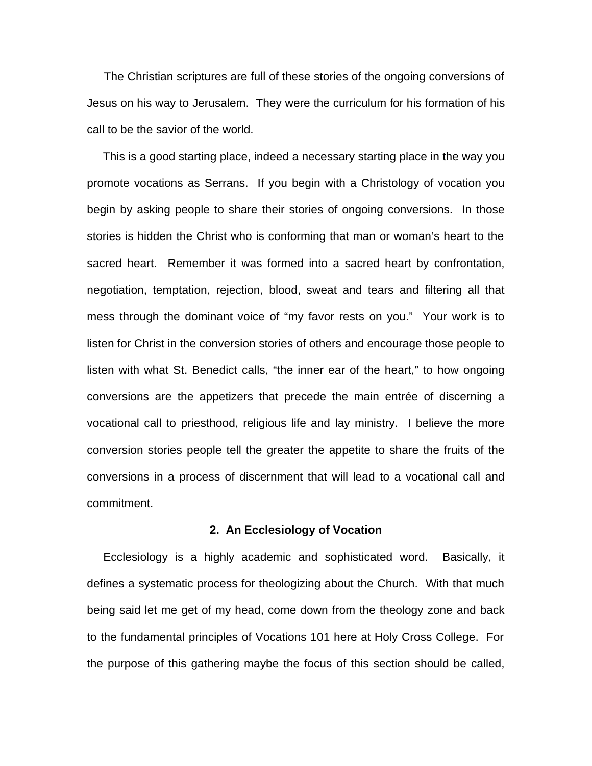The Christian scriptures are full of these stories of the ongoing conversions of Jesus on his way to Jerusalem. They were the curriculum for his formation of his call to be the savior of the world.

 This is a good starting place, indeed a necessary starting place in the way you promote vocations as Serrans. If you begin with a Christology of vocation you begin by asking people to share their stories of ongoing conversions. In those stories is hidden the Christ who is conforming that man or woman's heart to the sacred heart. Remember it was formed into a sacred heart by confrontation, negotiation, temptation, rejection, blood, sweat and tears and filtering all that mess through the dominant voice of "my favor rests on you." Your work is to listen for Christ in the conversion stories of others and encourage those people to listen with what St. Benedict calls, "the inner ear of the heart," to how ongoing conversions are the appetizers that precede the main entrée of discerning a vocational call to priesthood, religious life and lay ministry. I believe the more conversion stories people tell the greater the appetite to share the fruits of the conversions in a process of discernment that will lead to a vocational call and commitment.

## **2. An Ecclesiology of Vocation**

Ecclesiology is a highly academic and sophisticated word. Basically, it defines a systematic process for theologizing about the Church. With that much being said let me get of my head, come down from the theology zone and back to the fundamental principles of Vocations 101 here at Holy Cross College. For the purpose of this gathering maybe the focus of this section should be called,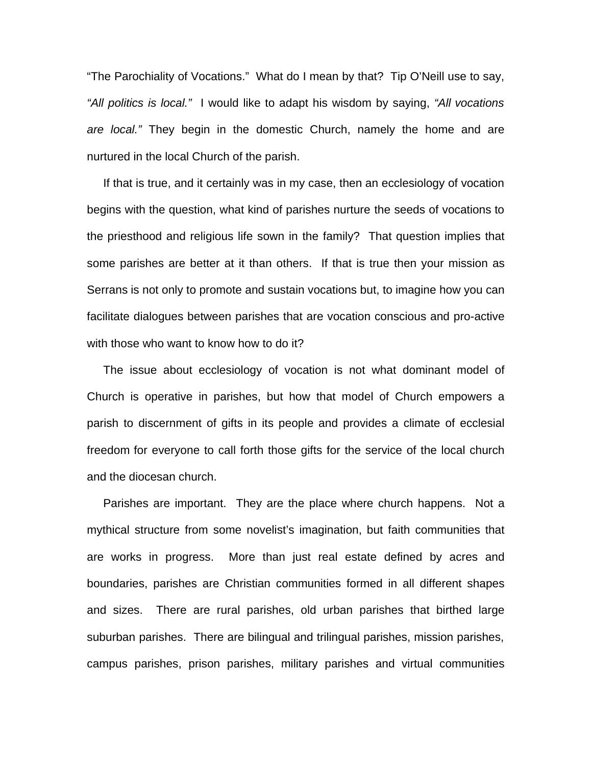"The Parochiality of Vocations." What do I mean by that? Tip O'Neill use to say, *"All politics is local."* I would like to adapt his wisdom by saying, *"All vocations are local."* They begin in the domestic Church, namely the home and are nurtured in the local Church of the parish.

If that is true, and it certainly was in my case, then an ecclesiology of vocation begins with the question, what kind of parishes nurture the seeds of vocations to the priesthood and religious life sown in the family? That question implies that some parishes are better at it than others. If that is true then your mission as Serrans is not only to promote and sustain vocations but, to imagine how you can facilitate dialogues between parishes that are vocation conscious and pro-active with those who want to know how to do it?

 The issue about ecclesiology of vocation is not what dominant model of Church is operative in parishes, but how that model of Church empowers a parish to discernment of gifts in its people and provides a climate of ecclesial freedom for everyone to call forth those gifts for the service of the local church and the diocesan church.

 Parishes are important. They are the place where church happens. Not a mythical structure from some novelist's imagination, but faith communities that are works in progress. More than just real estate defined by acres and boundaries, parishes are Christian communities formed in all different shapes and sizes. There are rural parishes, old urban parishes that birthed large suburban parishes. There are bilingual and trilingual parishes, mission parishes, campus parishes, prison parishes, military parishes and virtual communities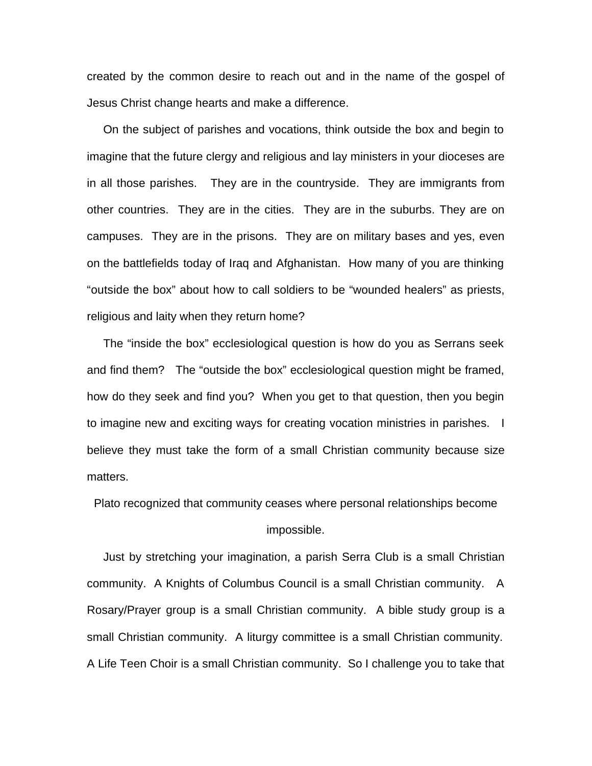created by the common desire to reach out and in the name of the gospel of Jesus Christ change hearts and make a difference.

 On the subject of parishes and vocations, think outside the box and begin to imagine that the future clergy and religious and lay ministers in your dioceses are in all those parishes. They are in the countryside. They are immigrants from other countries. They are in the cities. They are in the suburbs. They are on campuses. They are in the prisons. They are on military bases and yes, even on the battlefields today of Iraq and Afghanistan. How many of you are thinking "outside the box" about how to call soldiers to be "wounded healers" as priests, religious and laity when they return home?

 The "inside the box" ecclesiological question is how do you as Serrans seek and find them? The "outside the box" ecclesiological question might be framed, how do they seek and find you? When you get to that question, then you begin to imagine new and exciting ways for creating vocation ministries in parishes. I believe they must take the form of a small Christian community because size matters.

Plato recognized that community ceases where personal relationships become impossible.

 Just by stretching your imagination, a parish Serra Club is a small Christian community. A Knights of Columbus Council is a small Christian community. A Rosary/Prayer group is a small Christian community. A bible study group is a small Christian community. A liturgy committee is a small Christian community. A Life Teen Choir is a small Christian community. So I challenge you to take that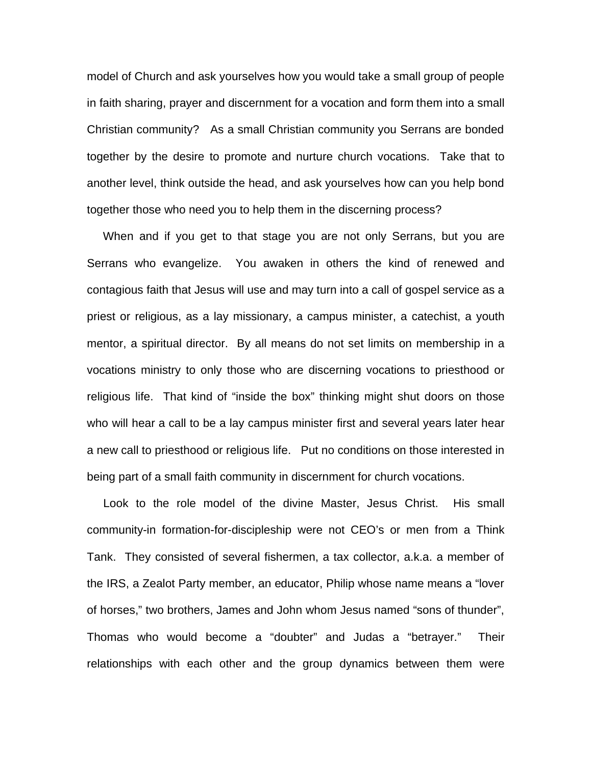model of Church and ask yourselves how you would take a small group of people in faith sharing, prayer and discernment for a vocation and form them into a small Christian community? As a small Christian community you Serrans are bonded together by the desire to promote and nurture church vocations. Take that to another level, think outside the head, and ask yourselves how can you help bond together those who need you to help them in the discerning process?

 When and if you get to that stage you are not only Serrans, but you are Serrans who evangelize. You awaken in others the kind of renewed and contagious faith that Jesus will use and may turn into a call of gospel service as a priest or religious, as a lay missionary, a campus minister, a catechist, a youth mentor, a spiritual director. By all means do not set limits on membership in a vocations ministry to only those who are discerning vocations to priesthood or religious life. That kind of "inside the box" thinking might shut doors on those who will hear a call to be a lay campus minister first and several years later hear a new call to priesthood or religious life. Put no conditions on those interested in being part of a small faith community in discernment for church vocations.

 Look to the role model of the divine Master, Jesus Christ. His small community-in formation-for-discipleship were not CEO's or men from a Think Tank. They consisted of several fishermen, a tax collector, a.k.a. a member of the IRS, a Zealot Party member, an educator, Philip whose name means a "lover of horses," two brothers, James and John whom Jesus named "sons of thunder", Thomas who would become a "doubter" and Judas a "betrayer." Their relationships with each other and the group dynamics between them were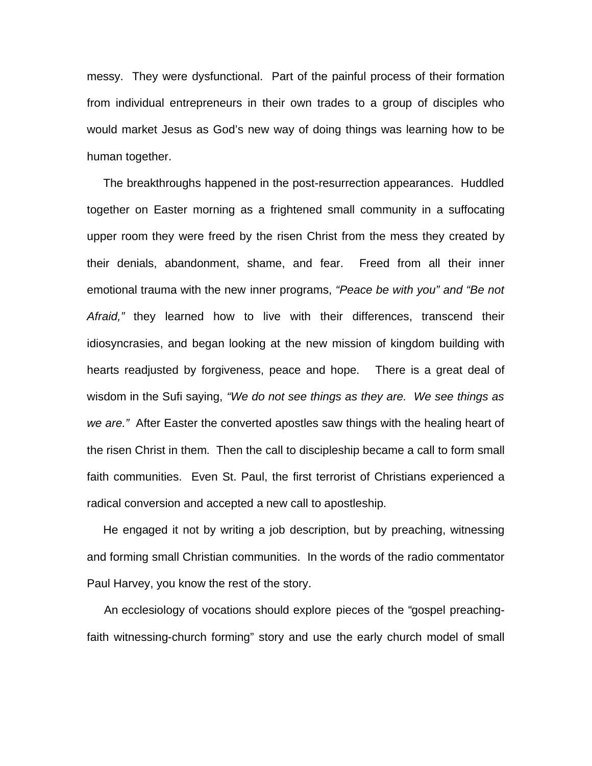messy. They were dysfunctional. Part of the painful process of their formation from individual entrepreneurs in their own trades to a group of disciples who would market Jesus as God's new way of doing things was learning how to be human together.

 The breakthroughs happened in the post-resurrection appearances. Huddled together on Easter morning as a frightened small community in a suffocating upper room they were freed by the risen Christ from the mess they created by their denials, abandonment, shame, and fear. Freed from all their inner emotional trauma with the new inner programs, *"Peace be with you" and "Be not Afraid,"* they learned how to live with their differences, transcend their idiosyncrasies, and began looking at the new mission of kingdom building with hearts readjusted by forgiveness, peace and hope. There is a great deal of wisdom in the Sufi saying, *"We do not see things as they are. We see things as we are."* After Easter the converted apostles saw things with the healing heart of the risen Christ in them. Then the call to discipleship became a call to form small faith communities. Even St. Paul, the first terrorist of Christians experienced a radical conversion and accepted a new call to apostleship.

 He engaged it not by writing a job description, but by preaching, witnessing and forming small Christian communities. In the words of the radio commentator Paul Harvey, you know the rest of the story.

 An ecclesiology of vocations should explore pieces of the "gospel preachingfaith witnessing-church forming" story and use the early church model of small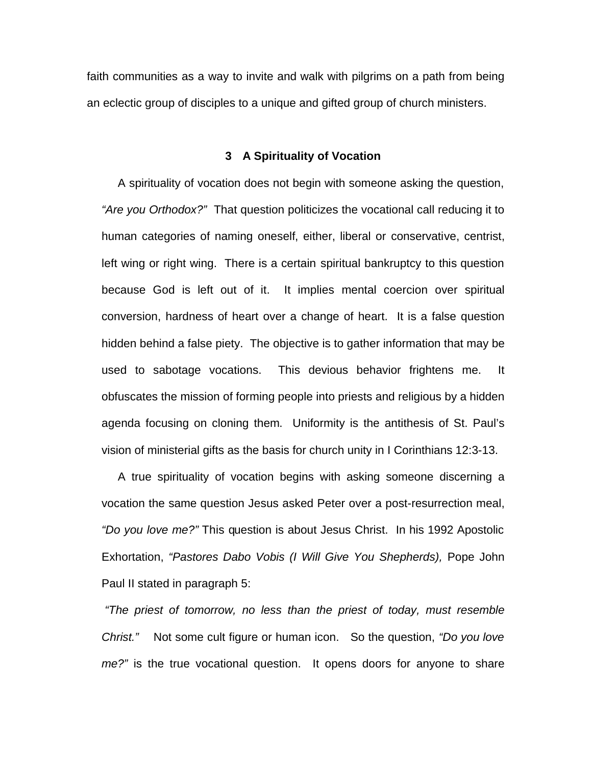faith communities as a way to invite and walk with pilgrims on a path from being an eclectic group of disciples to a unique and gifted group of church ministers.

## **3 A Spirituality of Vocation**

 A spirituality of vocation does not begin with someone asking the question, *"Are you Orthodox?"* That question politicizes the vocational call reducing it to human categories of naming oneself, either, liberal or conservative, centrist, left wing or right wing. There is a certain spiritual bankruptcy to this question because God is left out of it. It implies mental coercion over spiritual conversion, hardness of heart over a change of heart. It is a false question hidden behind a false piety. The objective is to gather information that may be used to sabotage vocations. This devious behavior frightens me. It obfuscates the mission of forming people into priests and religious by a hidden agenda focusing on cloning them. Uniformity is the antithesis of St. Paul's vision of ministerial gifts as the basis for church unity in I Corinthians 12:3-13.

 A true spirituality of vocation begins with asking someone discerning a vocation the same question Jesus asked Peter over a post-resurrection meal, *"Do you love me?"* This question is about Jesus Christ. In his 1992 Apostolic Exhortation, *"Pastores Dabo Vobis (I Will Give You Shepherds),* Pope John Paul II stated in paragraph 5:

*"The priest of tomorrow, no less than the priest of today, must resemble Christ."* Not some cult figure or human icon. So the question, *"Do you love me?"* is the true vocational question. It opens doors for anyone to share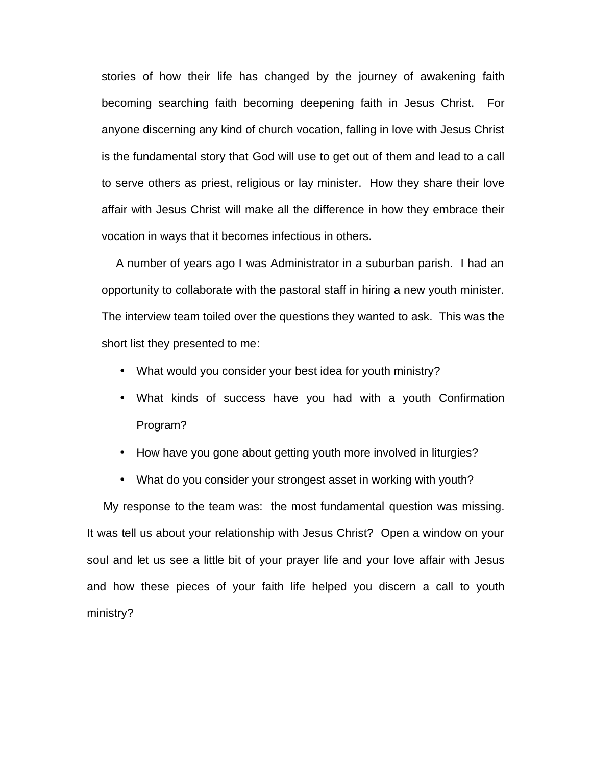stories of how their life has changed by the journey of awakening faith becoming searching faith becoming deepening faith in Jesus Christ. For anyone discerning any kind of church vocation, falling in love with Jesus Christ is the fundamental story that God will use to get out of them and lead to a call to serve others as priest, religious or lay minister. How they share their love affair with Jesus Christ will make all the difference in how they embrace their vocation in ways that it becomes infectious in others.

 A number of years ago I was Administrator in a suburban parish. I had an opportunity to collaborate with the pastoral staff in hiring a new youth minister. The interview team toiled over the questions they wanted to ask. This was the short list they presented to me:

- What would you consider your best idea for youth ministry?
- What kinds of success have you had with a youth Confirmation Program?
- How have you gone about getting youth more involved in liturgies?
- What do you consider your strongest asset in working with youth?

 My response to the team was: the most fundamental question was missing. It was tell us about your relationship with Jesus Christ? Open a window on your soul and let us see a little bit of your prayer life and your love affair with Jesus and how these pieces of your faith life helped you discern a call to youth ministry?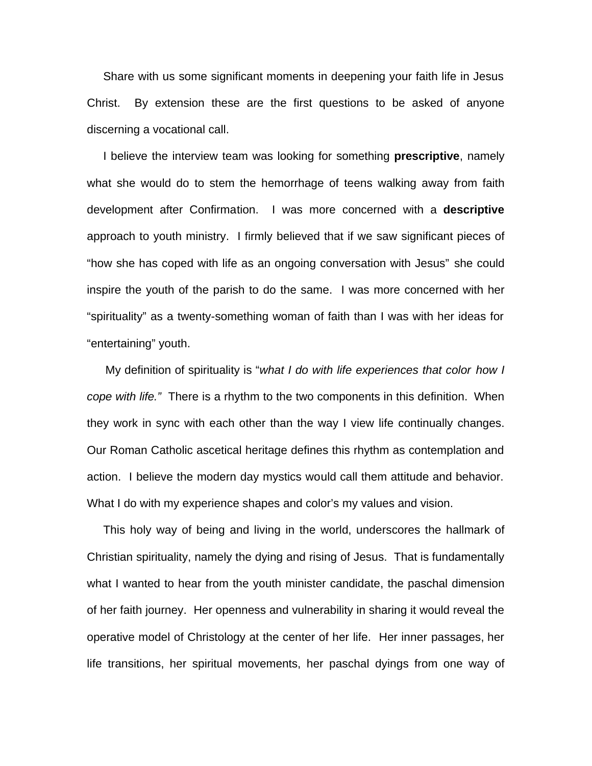Share with us some significant moments in deepening your faith life in Jesus Christ. By extension these are the first questions to be asked of anyone discerning a vocational call.

 I believe the interview team was looking for something **prescriptive**, namely what she would do to stem the hemorrhage of teens walking away from faith development after Confirmation. I was more concerned with a **descriptive** approach to youth ministry. I firmly believed that if we saw significant pieces of "how she has coped with life as an ongoing conversation with Jesus" she could inspire the youth of the parish to do the same. I was more concerned with her "spirituality" as a twenty-something woman of faith than I was with her ideas for "entertaining" youth.

 My definition of spirituality is "*what I do with life experiences that color how I cope with life."* There is a rhythm to the two components in this definition. When they work in sync with each other than the way I view life continually changes. Our Roman Catholic ascetical heritage defines this rhythm as contemplation and action. I believe the modern day mystics would call them attitude and behavior. What I do with my experience shapes and color's my values and vision.

 This holy way of being and living in the world, underscores the hallmark of Christian spirituality, namely the dying and rising of Jesus. That is fundamentally what I wanted to hear from the youth minister candidate, the paschal dimension of her faith journey. Her openness and vulnerability in sharing it would reveal the operative model of Christology at the center of her life. Her inner passages, her life transitions, her spiritual movements, her paschal dyings from one way of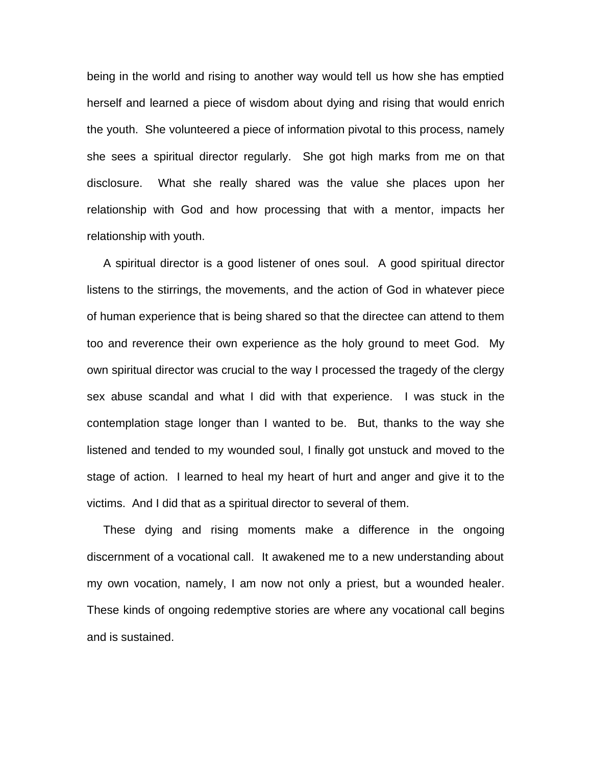being in the world and rising to another way would tell us how she has emptied herself and learned a piece of wisdom about dying and rising that would enrich the youth. She volunteered a piece of information pivotal to this process, namely she sees a spiritual director regularly. She got high marks from me on that disclosure. What she really shared was the value she places upon her relationship with God and how processing that with a mentor, impacts her relationship with youth.

 A spiritual director is a good listener of ones soul. A good spiritual director listens to the stirrings, the movements, and the action of God in whatever piece of human experience that is being shared so that the directee can attend to them too and reverence their own experience as the holy ground to meet God. My own spiritual director was crucial to the way I processed the tragedy of the clergy sex abuse scandal and what I did with that experience. I was stuck in the contemplation stage longer than I wanted to be. But, thanks to the way she listened and tended to my wounded soul, I finally got unstuck and moved to the stage of action. I learned to heal my heart of hurt and anger and give it to the victims. And I did that as a spiritual director to several of them.

 These dying and rising moments make a difference in the ongoing discernment of a vocational call. It awakened me to a new understanding about my own vocation, namely, I am now not only a priest, but a wounded healer. These kinds of ongoing redemptive stories are where any vocational call begins and is sustained.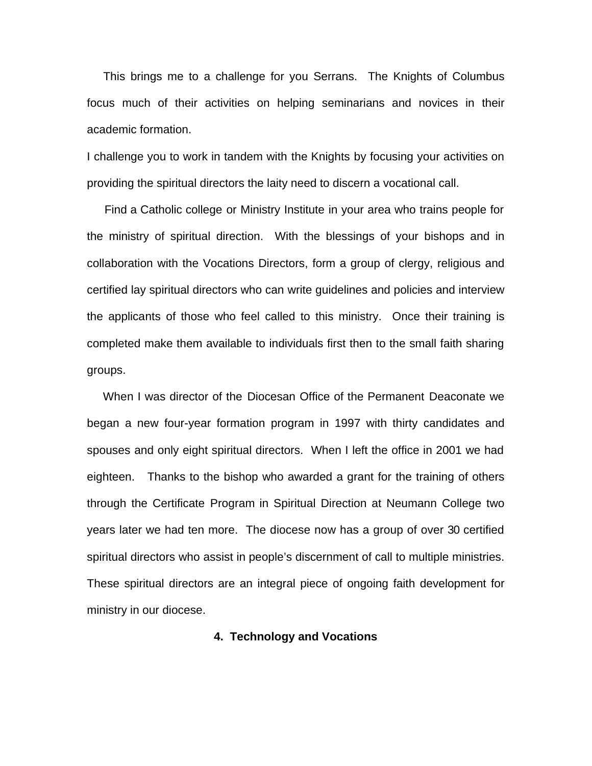This brings me to a challenge for you Serrans. The Knights of Columbus focus much of their activities on helping seminarians and novices in their academic formation.

I challenge you to work in tandem with the Knights by focusing your activities on providing the spiritual directors the laity need to discern a vocational call.

 Find a Catholic college or Ministry Institute in your area who trains people for the ministry of spiritual direction. With the blessings of your bishops and in collaboration with the Vocations Directors, form a group of clergy, religious and certified lay spiritual directors who can write guidelines and policies and interview the applicants of those who feel called to this ministry. Once their training is completed make them available to individuals first then to the small faith sharing groups.

 When I was director of the Diocesan Office of the Permanent Deaconate we began a new four-year formation program in 1997 with thirty candidates and spouses and only eight spiritual directors. When I left the office in 2001 we had eighteen. Thanks to the bishop who awarded a grant for the training of others through the Certificate Program in Spiritual Direction at Neumann College two years later we had ten more. The diocese now has a group of over 30 certified spiritual directors who assist in people's discernment of call to multiple ministries. These spiritual directors are an integral piece of ongoing faith development for ministry in our diocese.

## **4. Technology and Vocations**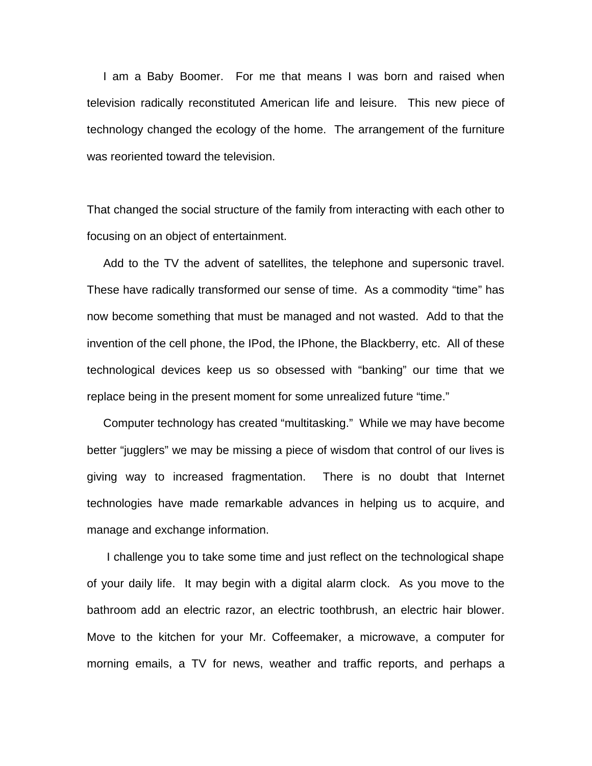I am a Baby Boomer. For me that means I was born and raised when television radically reconstituted American life and leisure. This new piece of technology changed the ecology of the home. The arrangement of the furniture was reoriented toward the television.

That changed the social structure of the family from interacting with each other to focusing on an object of entertainment.

 Add to the TV the advent of satellites, the telephone and supersonic travel. These have radically transformed our sense of time. As a commodity "time" has now become something that must be managed and not wasted. Add to that the invention of the cell phone, the IPod, the IPhone, the Blackberry, etc. All of these technological devices keep us so obsessed with "banking" our time that we replace being in the present moment for some unrealized future "time."

 Computer technology has created "multitasking." While we may have become better "jugglers" we may be missing a piece of wisdom that control of our lives is giving way to increased fragmentation. There is no doubt that Internet technologies have made remarkable advances in helping us to acquire, and manage and exchange information.

 I challenge you to take some time and just reflect on the technological shape of your daily life. It may begin with a digital alarm clock. As you move to the bathroom add an electric razor, an electric toothbrush, an electric hair blower. Move to the kitchen for your Mr. Coffeemaker, a microwave, a computer for morning emails, a TV for news, weather and traffic reports, and perhaps a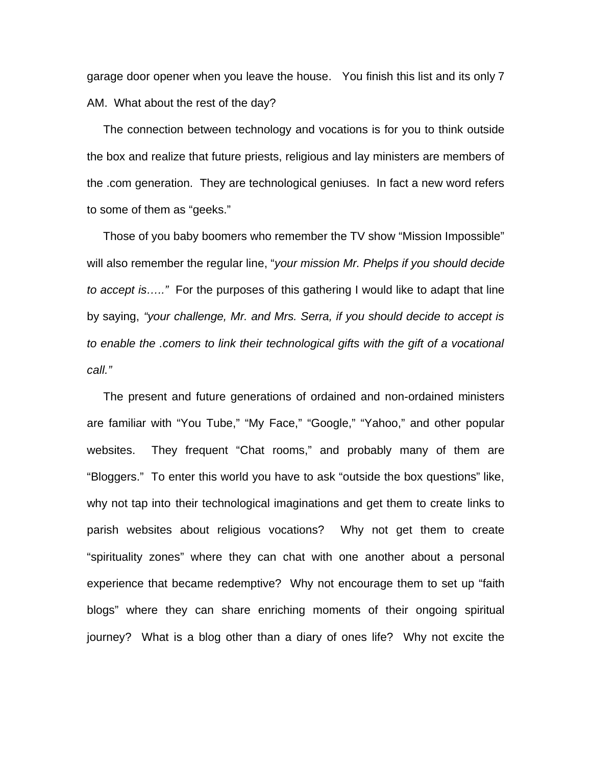garage door opener when you leave the house. You finish this list and its only 7 AM. What about the rest of the day?

 The connection between technology and vocations is for you to think outside the box and realize that future priests, religious and lay ministers are members of the .com generation. They are technological geniuses. In fact a new word refers to some of them as "geeks."

 Those of you baby boomers who remember the TV show "Mission Impossible" will also remember the regular line, "*your mission Mr. Phelps if you should decide to accept is….."* For the purposes of this gathering I would like to adapt that line by saying, *"your challenge, Mr. and Mrs. Serra, if you should decide to accept is to enable the .comers to link their technological gifts with the gift of a vocational call."*

 The present and future generations of ordained and non-ordained ministers are familiar with "You Tube," "My Face," "Google," "Yahoo," and other popular websites. They frequent "Chat rooms," and probably many of them are "Bloggers." To enter this world you have to ask "outside the box questions" like, why not tap into their technological imaginations and get them to create links to parish websites about religious vocations? Why not get them to create "spirituality zones" where they can chat with one another about a personal experience that became redemptive? Why not encourage them to set up "faith blogs" where they can share enriching moments of their ongoing spiritual journey? What is a blog other than a diary of ones life? Why not excite the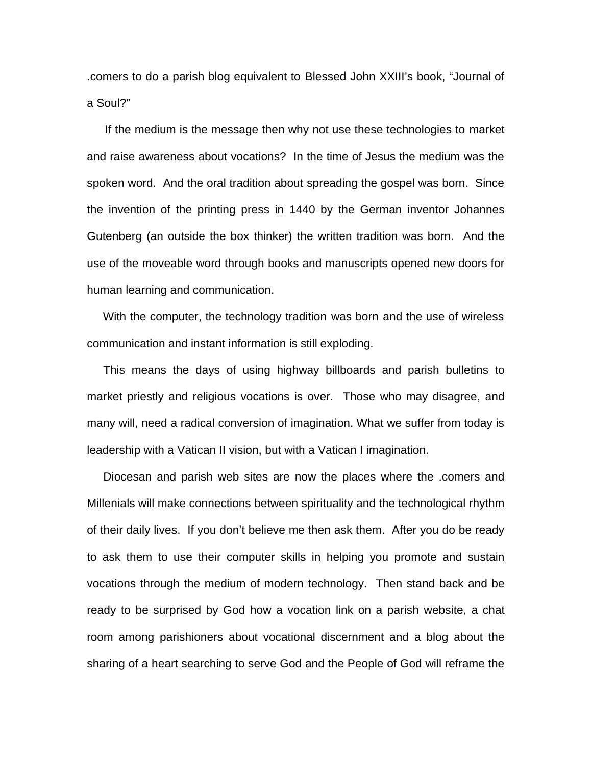.comers to do a parish blog equivalent to Blessed John XXIII's book, "Journal of a Soul?"

 If the medium is the message then why not use these technologies to market and raise awareness about vocations? In the time of Jesus the medium was the spoken word. And the oral tradition about spreading the gospel was born. Since the invention of the printing press in 1440 by the German inventor Johannes Gutenberg (an outside the box thinker) the written tradition was born. And the use of the moveable word through books and manuscripts opened new doors for human learning and communication.

 With the computer, the technology tradition was born and the use of wireless communication and instant information is still exploding.

 This means the days of using highway billboards and parish bulletins to market priestly and religious vocations is over. Those who may disagree, and many will, need a radical conversion of imagination. What we suffer from today is leadership with a Vatican II vision, but with a Vatican I imagination.

 Diocesan and parish web sites are now the places where the .comers and Millenials will make connections between spirituality and the technological rhythm of their daily lives. If you don't believe me then ask them. After you do be ready to ask them to use their computer skills in helping you promote and sustain vocations through the medium of modern technology. Then stand back and be ready to be surprised by God how a vocation link on a parish website, a chat room among parishioners about vocational discernment and a blog about the sharing of a heart searching to serve God and the People of God will reframe the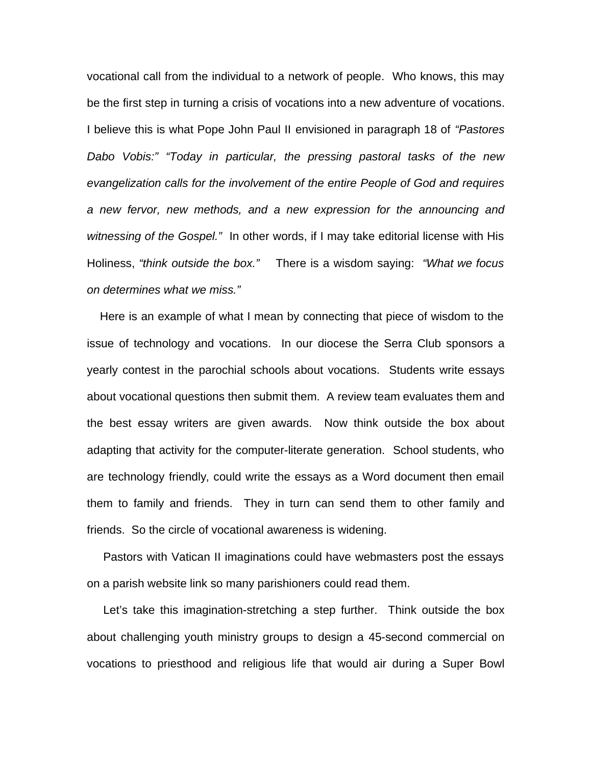vocational call from the individual to a network of people. Who knows, this may be the first step in turning a crisis of vocations into a new adventure of vocations. I believe this is what Pope John Paul II envisioned in paragraph 18 of *"Pastores Dabo Vobis:" "Today in particular, the pressing pastoral tasks of the new evangelization calls for the involvement of the entire People of God and requires a new fervor, new methods, and a new expression for the announcing and witnessing of the Gospel."* In other words, if I may take editorial license with His Holiness, *"think outside the box."* There is a wisdom saying: *"What we focus on determines what we miss."*

 Here is an example of what I mean by connecting that piece of wisdom to the issue of technology and vocations. In our diocese the Serra Club sponsors a yearly contest in the parochial schools about vocations. Students write essays about vocational questions then submit them. A review team evaluates them and the best essay writers are given awards. Now think outside the box about adapting that activity for the computer-literate generation. School students, who are technology friendly, could write the essays as a Word document then email them to family and friends. They in turn can send them to other family and friends. So the circle of vocational awareness is widening.

 Pastors with Vatican II imaginations could have webmasters post the essays on a parish website link so many parishioners could read them.

 Let's take this imagination-stretching a step further. Think outside the box about challenging youth ministry groups to design a 45-second commercial on vocations to priesthood and religious life that would air during a Super Bowl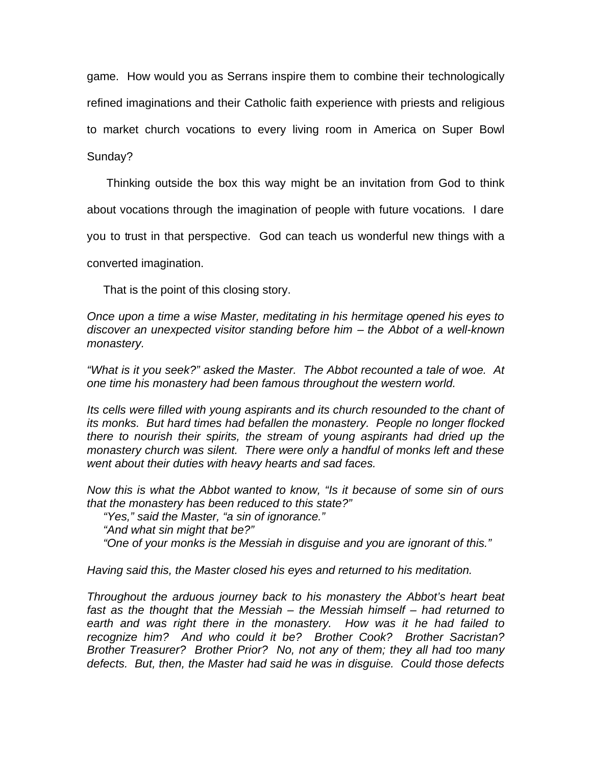game. How would you as Serrans inspire them to combine their technologically refined imaginations and their Catholic faith experience with priests and religious to market church vocations to every living room in America on Super Bowl

Sunday?

Thinking outside the box this way might be an invitation from God to think

about vocations through the imagination of people with future vocations. I dare

you to trust in that perspective. God can teach us wonderful new things with a

converted imagination.

That is the point of this closing story.

*Once upon a time a wise Master, meditating in his hermitage opened his eyes to discover an unexpected visitor standing before him – the Abbot of a well-known monastery.*

*"What is it you seek?" asked the Master. The Abbot recounted a tale of woe. At one time his monastery had been famous throughout the western world.* 

*Its cells were filled with young aspirants and its church resounded to the chant of its monks. But hard times had befallen the monastery. People no longer flocked there to nourish their spirits, the stream of young aspirants had dried up the monastery church was silent. There were only a handful of monks left and these went about their duties with heavy hearts and sad faces.*

*Now this is what the Abbot wanted to know, "Is it because of some sin of ours that the monastery has been reduced to this state?"*

 *"Yes," said the Master, "a sin of ignorance."*

 *"And what sin might that be?"*

*"One of your monks is the Messiah in disguise and you are ignorant of this."*

*Having said this, the Master closed his eyes and returned to his meditation.*

*Throughout the arduous journey back to his monastery the Abbot's heart beat fast as the thought that the Messiah – the Messiah himself – had returned to earth and was right there in the monastery. How was it he had failed to recognize him? And who could it be? Brother Cook? Brother Sacristan? Brother Treasurer? Brother Prior? No, not any of them; they all had too many defects. But, then, the Master had said he was in disguise. Could those defects*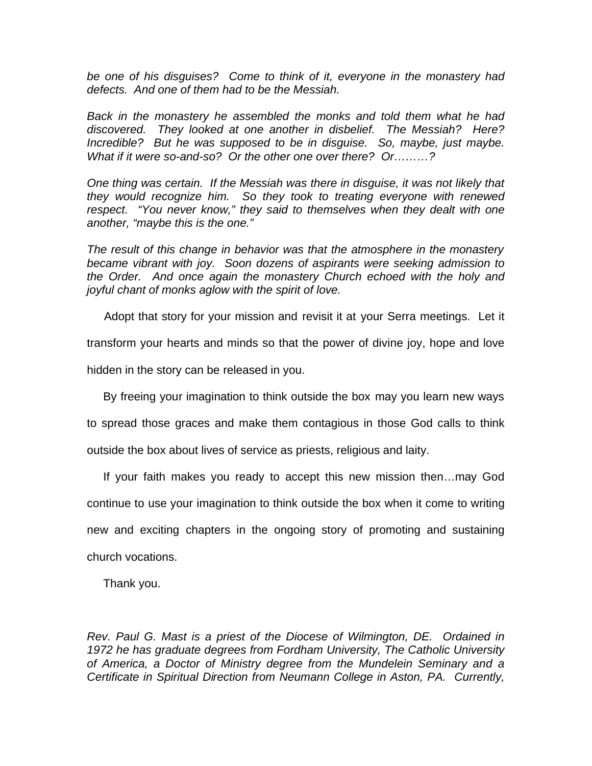*be one of his disguises? Come to think of it, everyone in the monastery had defects. And one of them had to be the Messiah.*

*Back in the monastery he assembled the monks and told them what he had discovered. They looked at one another in disbelief. The Messiah? Here? Incredible? But he was supposed to be in disguise. So, maybe, just maybe. What if it were so-and-so? Or the other one over there? Or………?* 

*One thing was certain. If the Messiah was there in disguise, it was not likely that they would recognize him. So they took to treating everyone with renewed respect. "You never know," they said to themselves when they dealt with one another, "maybe this is the one."*

*The result of this change in behavior was that the atmosphere in the monastery became vibrant with joy. Soon dozens of aspirants were seeking admission to the Order. And once again the monastery Church echoed with the holy and joyful chant of monks aglow with the spirit of love.*

Adopt that story for your mission and revisit it at your Serra meetings. Let it

transform your hearts and minds so that the power of divine joy, hope and love

hidden in the story can be released in you.

By freeing your imagination to think outside the box may you learn new ways

to spread those graces and make them contagious in those God calls to think

outside the box about lives of service as priests, religious and laity.

 If your faith makes you ready to accept this new mission then…may God continue to use your imagination to think outside the box when it come to writing new and exciting chapters in the ongoing story of promoting and sustaining church vocations.

Thank you.

*Rev. Paul G. Mast is a priest of the Diocese of Wilmington, DE. Ordained in 1972 he has graduate degrees from Fordham University, The Catholic University of America, a Doctor of Ministry degree from the Mundelein Seminary and a Certificate in Spiritual Direction from Neumann College in Aston, PA. Currently,*